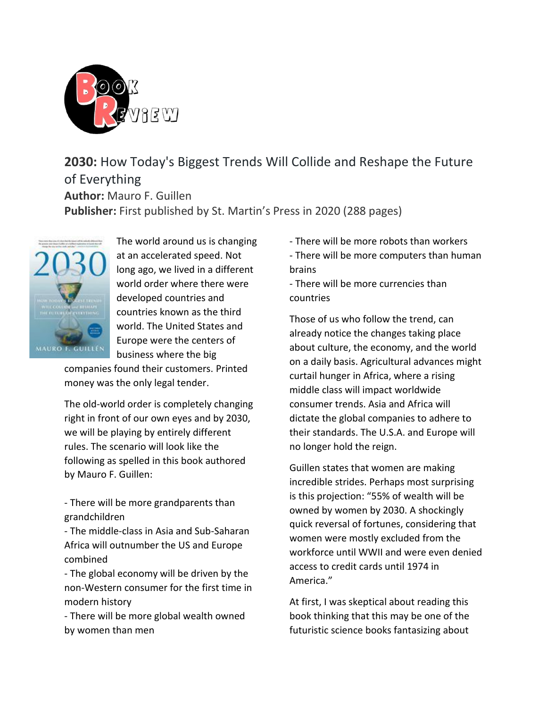

**2030:** How Today's Biggest Trends Will Collide and Reshape the Future of Everything **Author:** Mauro F. Guillen **Publisher:** First published by St. Martin's Press in 2020 (288 pages)



The world around us is changing at an accelerated speed. Not long ago, we lived in a different world order where there were developed countries and countries known as the third world. The United States and Europe were the centers of business where the big

companies found their customers. Printed money was the only legal tender.

The old-world order is completely changing right in front of our own eyes and by 2030, we will be playing by entirely different rules. The scenario will look like the following as spelled in this book authored by Mauro F. Guillen:

- There will be more grandparents than grandchildren

- The middle-class in Asia and Sub-Saharan Africa will outnumber the US and Europe combined

- The global economy will be driven by the non-Western consumer for the first time in modern history

- There will be more global wealth owned by women than men

- There will be more robots than workers
- There will be more computers than human brains

- There will be more currencies than countries

Those of us who follow the trend, can already notice the changes taking place about culture, the economy, and the world on a daily basis. Agricultural advances might curtail hunger in Africa, where a rising middle class will impact worldwide consumer trends. Asia and Africa will dictate the global companies to adhere to their standards. The U.S.A. and Europe will no longer hold the reign.

Guillen states that women are making incredible strides. Perhaps most surprising is this projection: "55% of wealth will be owned by women by 2030. A shockingly quick reversal of fortunes, considering that women were mostly excluded from the workforce until WWII and were even denied access to credit cards until 1974 in America."

At first, I was skeptical about reading this book thinking that this may be one of the futuristic science books fantasizing about